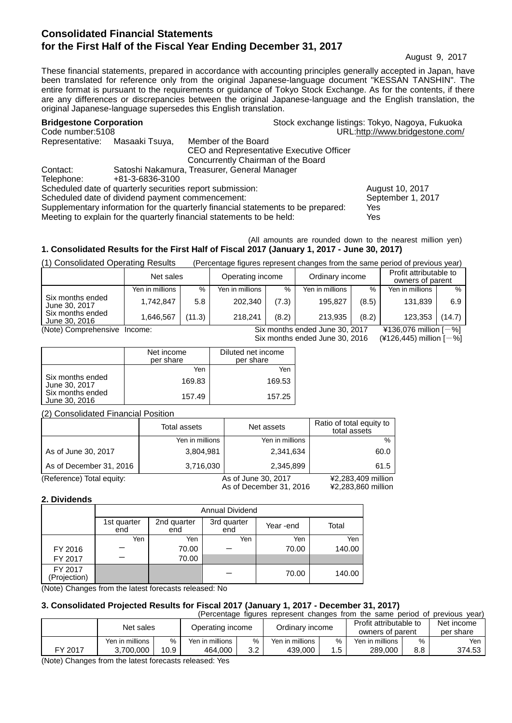# **Consolidated Financial Statements for the First Half of the Fiscal Year Ending December 31, 2017**

August 9, 2017

These financial statements, prepared in accordance with accounting principles generally accepted in Japan, have been translated for reference only from the original Japanese-language document "KESSAN TANSHIN". The entire format is pursuant to the requirements or guidance of Tokyo Stock Exchange. As for the contents, if there are any differences or discrepancies between the original Japanese-language and the English translation, the original Japanese-language supersedes this English translation.

| <b>Bridgestone Corporation</b>                                        |                 |                                                                                  | Stock exchange listings: Tokyo, Nagoya, Fukuoka |
|-----------------------------------------------------------------------|-----------------|----------------------------------------------------------------------------------|-------------------------------------------------|
| Code number: 5108                                                     |                 |                                                                                  | URL:http://www.bridgestone.com/                 |
| Representative:                                                       | Masaaki Tsuya,  | Member of the Board                                                              |                                                 |
|                                                                       |                 | CEO and Representative Executive Officer                                         |                                                 |
|                                                                       |                 | Concurrently Chairman of the Board                                               |                                                 |
| Contact:                                                              |                 | Satoshi Nakamura, Treasurer, General Manager                                     |                                                 |
| Telephone:                                                            | +81-3-6836-3100 |                                                                                  |                                                 |
| Scheduled date of quarterly securities report submission:             |                 |                                                                                  | August 10, 2017                                 |
| Scheduled date of dividend payment commencement:                      |                 |                                                                                  | September 1, 2017                               |
|                                                                       |                 | Supplementary information for the quarterly financial statements to be prepared: | Yes                                             |
| Meeting to explain for the quarterly financial statements to be held: |                 |                                                                                  | Yes                                             |

#### (All amounts are rounded down to the nearest million yen) **1. Consolidated Results for the First Half of Fiscal 2017 (January 1, 2017 - June 30, 2017)**

(1) Consolidated Operating Results (Percentage figures represent changes from the same period of previous year)

|                                   | Net sales       |        | Operating income |       | Ordinary income                |       | Profit attributable to<br>owners of parent |        |
|-----------------------------------|-----------------|--------|------------------|-------|--------------------------------|-------|--------------------------------------------|--------|
|                                   | Yen in millions | %      | Yen in millions  | %     | Yen in millions                | %     | Yen in millions                            | %      |
| Six months ended<br>June 30, 2017 | 1.742.847       | 5.8    | 202.340          | (7.3) | 195.827                        | (8.5) | 131.839                                    | 6.9    |
| Six months ended<br>June 30, 2016 | 1.646.567       | (11.3) | 218.241          | (8.2) | 213.935                        | (8.2) | 123.353                                    | (14.7) |
| (Note) Comprehensive              | Income:         |        |                  |       | Six months ended June 30, 2017 |       | ¥136,076 million $[-%]$                    |        |

```
Six months ended June 30, 2016 (4126,445) million [-%]
```

|                                   | Net income<br>per share | Diluted net income<br>per share |
|-----------------------------------|-------------------------|---------------------------------|
|                                   | Yen                     | Yen                             |
| Six months ended<br>June 30, 2017 | 169.83                  | 169.53                          |
| Six months ended<br>June 30, 2016 | 157.49                  | 157.25                          |

(2) Consolidated Financial Position

|                           | Total assets    | Net assets              | Ratio of total equity to<br>total assets |
|---------------------------|-----------------|-------------------------|------------------------------------------|
|                           | Yen in millions | Yen in millions         | $\%$                                     |
| As of June 30, 2017       | 3,804,981       | 2,341,634               | 60.0                                     |
| As of December 31, 2016   | 3,716,030       | 2,345,899               | 61.5                                     |
| (Reference) Total equity: |                 | As of June 30, 2017     | ¥2,283,409 million                       |
|                           |                 | As of December 31, 2016 | ¥2,283,860 million                       |

#### **2. Dividends**

|                         | <b>Annual Dividend</b> |                    |                    |           |        |  |
|-------------------------|------------------------|--------------------|--------------------|-----------|--------|--|
|                         | 1st quarter<br>end     | 2nd quarter<br>end | 3rd quarter<br>end | Year -end | Total  |  |
|                         | Yen                    | Yen                | Yen                | Yen       | Yen    |  |
| FY 2016                 |                        | 70.00              |                    | 70.00     | 140.00 |  |
| FY 2017                 |                        | 70.00              |                    |           |        |  |
| FY 2017<br>(Projection) |                        |                    |                    | 70.00     | 140.00 |  |

(Note) Changes from the latest forecasts released: No

#### **3. Consolidated Projected Results for Fiscal 2017 (January 1, 2017 - December 31, 2017)**

|         |                 |      |                  |     |                 |      | (Percentage figures represent changes from the same period of |     | previous vear)          |
|---------|-----------------|------|------------------|-----|-----------------|------|---------------------------------------------------------------|-----|-------------------------|
|         | Net sales       |      | Operating income |     | Ordinary income |      | Profit attributable to<br>owners of parent                    |     | Net income<br>per share |
|         | Yen in millions | $\%$ | Yen in millions  | %   | Yen in millions | $\%$ | Yen in millions                                               | %   | Yen I                   |
| FY 2017 | 3.700.000       | 10.9 | 464.000          | 3.2 | 439,000         | 1.5  | 289,000                                                       | 8.8 | 374.53                  |
| (1)     |                 |      |                  |     |                 |      |                                                               |     |                         |

(Note) Changes from the latest forecasts released: Yes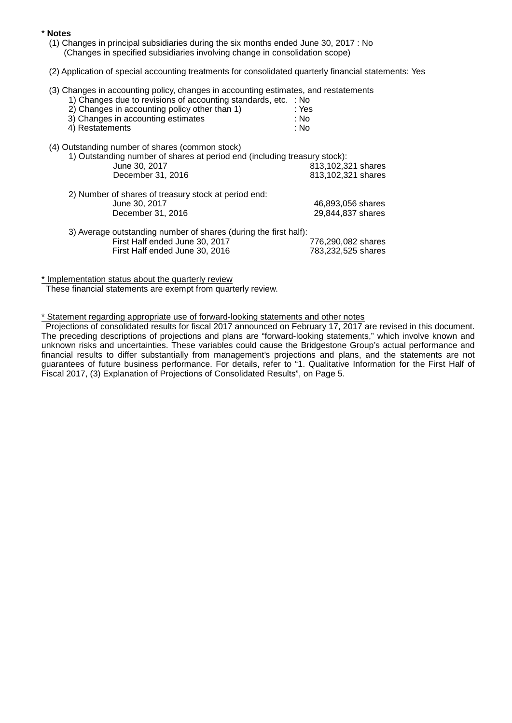#### \* **Notes**

- (1) Changes in principal subsidiaries during the six months ended June 30, 2017 : No (Changes in specified subsidiaries involving change in consolidation scope)
- (2) Application of special accounting treatments for consolidated quarterly financial statements: Yes
- (3) Changes in accounting policy, changes in accounting estimates, and restatements

| 1) Changes due to revisions of accounting standards, etc. : No |       |
|----------------------------------------------------------------|-------|
| 2) Changes in accounting policy other than 1)                  | : Yes |

| 3) Changes in accounting estimates | : No |
|------------------------------------|------|
|                                    |      |

- 4) Restatements : No
- (4) Outstanding number of shares (common stock)

| 1) Outstanding number of shares at period end (including treasury stock): |                                                 |
|---------------------------------------------------------------------------|-------------------------------------------------|
| June 30, 2017                                                             | 813,102,321 shares                              |
| December 31, 2016                                                         | 813,102,321 shares                              |
| 2) Number of shares of treasury stock at period end:                      |                                                 |
|                                                                           | 46,893,056 shares                               |
| December 31, 2016                                                         | 29,844,837 shares                               |
| 3) Average outstanding number of shares (during the first half):          |                                                 |
|                                                                           | 776,290,082 shares                              |
| First Half ended June 30, 2016                                            | 783,232,525 shares                              |
|                                                                           | June 30, 2017<br>First Half ended June 30, 2017 |

\* Implementation status about the quarterly review

These financial statements are exempt from quarterly review.

\* Statement regarding appropriate use of forward-looking statements and other notes

Projections of consolidated results for fiscal 2017 announced on February 17, 2017 are revised in this document. The preceding descriptions of projections and plans are "forward-looking statements," which involve known and unknown risks and uncertainties. These variables could cause the Bridgestone Group's actual performance and financial results to differ substantially from management's projections and plans, and the statements are not guarantees of future business performance. For details, refer to "1. Qualitative Information for the First Half of Fiscal 2017, (3) Explanation of Projections of Consolidated Results", on Page 5.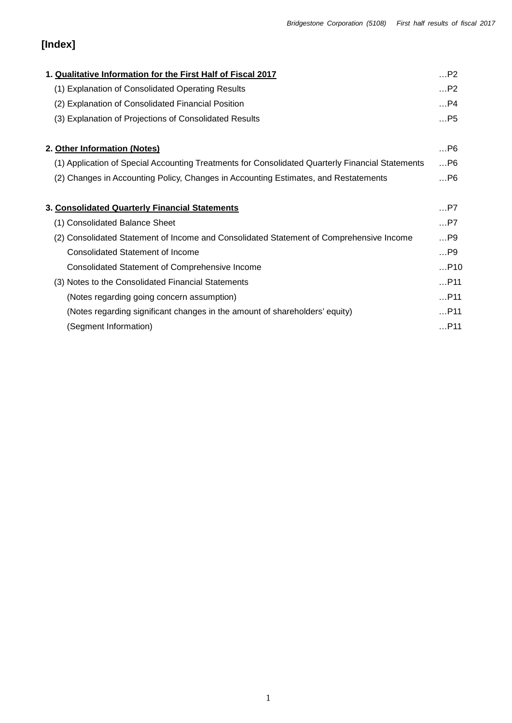# **[Index]**

| P2    |
|-------|
| P2    |
| P4    |
| $$ P5 |
| $$ P6 |
| $$ P6 |
| $$ P6 |
| $$ P7 |
| $$ P7 |
| $$ P9 |
| P9    |
| P10   |
| P11   |
| P11   |
| P11   |
| P11   |
|       |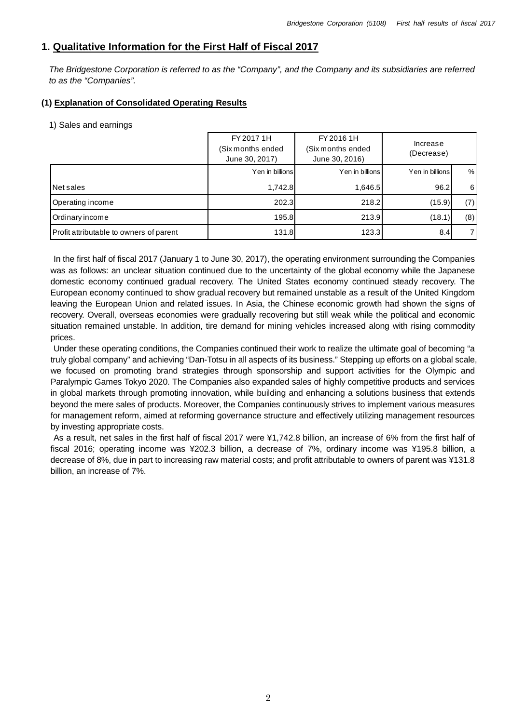# **1. Qualitative Information for the First Half of Fiscal 2017**

*The Bridgestone Corporation is referred to as the "Company", and the Company and its subsidiaries are referred to as the "Companies".*

## **(1) Explanation of Consolidated Operating Results**

#### 1) Sales and earnings

|                                         | FY 2017 1H<br>(Six months ended<br>June 30, 2017) | FY 2016 1H<br>Increase<br>(Six months ended<br>(Decrease)<br>June 30, 2016) |                 |          |
|-----------------------------------------|---------------------------------------------------|-----------------------------------------------------------------------------|-----------------|----------|
|                                         | Yen in billions                                   | Yen in billions                                                             | Yen in billions | %        |
| <b>Net sales</b>                        | 1,742.8                                           | 1,646.5                                                                     | 96.2            | $6 \mid$ |
| Operating income                        | 202.3                                             | 218.2                                                                       | (15.9)          | (7)      |
| Ordinary income                         | 195.8                                             | 213.9                                                                       | (18.1)          | (8)      |
| Profit attributable to owners of parent | 131.8                                             | 123.3                                                                       | 8.4             | 71       |

In the first half of fiscal 2017 (January 1 to June 30, 2017), the operating environment surrounding the Companies was as follows: an unclear situation continued due to the uncertainty of the global economy while the Japanese domestic economy continued gradual recovery. The United States economy continued steady recovery. The European economy continued to show gradual recovery but remained unstable as a result of the United Kingdom leaving the European Union and related issues. In Asia, the Chinese economic growth had shown the signs of recovery. Overall, overseas economies were gradually recovering but still weak while the political and economic situation remained unstable. In addition, tire demand for mining vehicles increased along with rising commodity prices.

Under these operating conditions, the Companies continued their work to realize the ultimate goal of becoming "a truly global company" and achieving "Dan-Totsu in all aspects of its business." Stepping up efforts on a global scale, we focused on promoting brand strategies through sponsorship and support activities for the Olympic and Paralympic Games Tokyo 2020. The Companies also expanded sales of highly competitive products and services in global markets through promoting innovation, while building and enhancing a solutions business that extends beyond the mere sales of products. Moreover, the Companies continuously strives to implement various measures for management reform, aimed at reforming governance structure and effectively utilizing management resources by investing appropriate costs.

As a result, net sales in the first half of fiscal 2017 were ¥1,742.8 billion, an increase of 6% from the first half of fiscal 2016; operating income was ¥202.3 billion, a decrease of 7%, ordinary income was ¥195.8 billion, a decrease of 8%, due in part to increasing raw material costs; and profit attributable to owners of parent was ¥131.8 billion, an increase of 7%.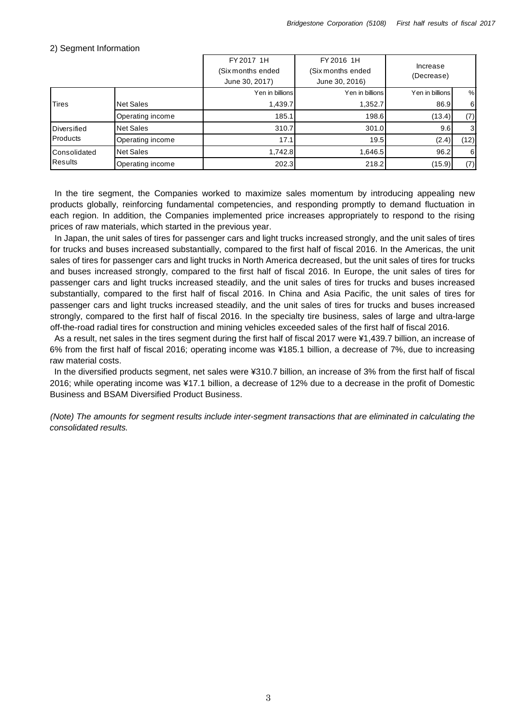|                |                  | FY 2017 1H        | FY 2016 1H        |                        |                  |
|----------------|------------------|-------------------|-------------------|------------------------|------------------|
|                |                  | (Six months ended | (Six months ended | Increase<br>(Decrease) |                  |
|                |                  | June 30, 2017)    | June 30, 2016)    |                        |                  |
|                |                  | Yen in billions   | Yen in billions   | Yen in billions        | %                |
| <b>Tires</b>   | <b>Net Sales</b> | 1,439.7           | 1,352.7           | 86.9                   | $6 \overline{6}$ |
|                | Operating income | 185.1             | 198.6             | (13.4)                 | (7)              |
| Diversified    | <b>Net Sales</b> | 310.7             | 301.0             | 9.6                    | $\mathbf{3}$     |
| Products       | Operating income | 17.1              | 19.5              | (2.4)                  | (12)             |
| Consolidated   | <b>Net Sales</b> | 1,742.8           | 1,646.5           | 96.2                   | $6 \mid$         |
| <b>Results</b> | Operating income | 202.3             | 218.2             | (15.9)                 | (7)              |

#### 2) Segment Information

In the tire segment, the Companies worked to maximize sales momentum by introducing appealing new products globally, reinforcing fundamental competencies, and responding promptly to demand fluctuation in each region. In addition, the Companies implemented price increases appropriately to respond to the rising prices of raw materials, which started in the previous year.

In Japan, the unit sales of tires for passenger cars and light trucks increased strongly, and the unit sales of tires for trucks and buses increased substantially, compared to the first half of fiscal 2016. In the Americas, the unit sales of tires for passenger cars and light trucks in North America decreased, but the unit sales of tires for trucks and buses increased strongly, compared to the first half of fiscal 2016. In Europe, the unit sales of tires for passenger cars and light trucks increased steadily, and the unit sales of tires for trucks and buses increased substantially, compared to the first half of fiscal 2016. In China and Asia Pacific, the unit sales of tires for passenger cars and light trucks increased steadily, and the unit sales of tires for trucks and buses increased strongly, compared to the first half of fiscal 2016. In the specialty tire business, sales of large and ultra-large off-the-road radial tires for construction and mining vehicles exceeded sales of the first half of fiscal 2016.

As a result, net sales in the tires segment during the first half of fiscal 2017 were ¥1,439.7 billion, an increase of 6% from the first half of fiscal 2016; operating income was ¥185.1 billion, a decrease of 7%, due to increasing raw material costs.

In the diversified products segment, net sales were ¥310.7 billion, an increase of 3% from the first half of fiscal 2016; while operating income was ¥17.1 billion, a decrease of 12% due to a decrease in the profit of Domestic Business and BSAM Diversified Product Business.

*(Note) The amounts for segment results include inter-segment transactions that are eliminated in calculating the consolidated results.*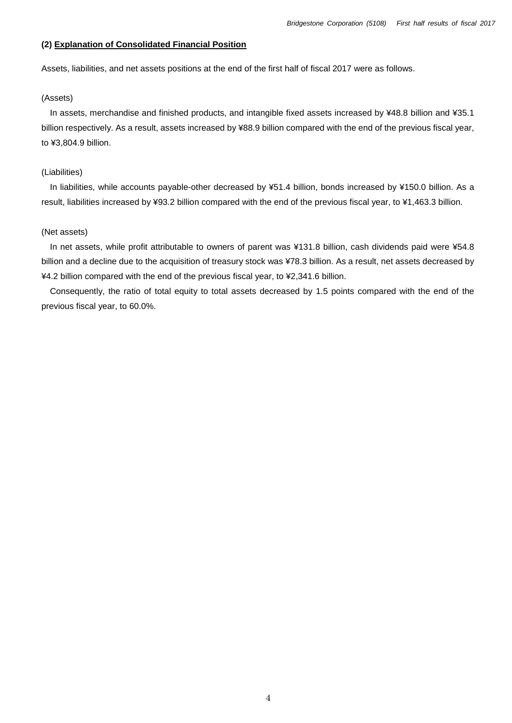#### **(2) Explanation of Consolidated Financial Position**

Assets, liabilities, and net assets positions at the end of the first half of fiscal 2017 were as follows.

#### (Assets)

In assets, merchandise and finished products, and intangible fixed assets increased by ¥48.8 billion and ¥35.1 billion respectively. As a result, assets increased by ¥88.9 billion compared with the end of the previous fiscal year, to ¥3,804.9 billion.

#### (Liabilities)

In liabilities, while accounts payable-other decreased by ¥51.4 billion, bonds increased by ¥150.0 billion. As a result, liabilities increased by ¥93.2 billion compared with the end of the previous fiscal year, to ¥1,463.3 billion.

#### (Net assets)

In net assets, while profit attributable to owners of parent was ¥131.8 billion, cash dividends paid were ¥54.8 billion and a decline due to the acquisition of treasury stock was ¥78.3 billion. As a result, net assets decreased by ¥4.2 billion compared with the end of the previous fiscal year, to ¥2,341.6 billion.

Consequently, the ratio of total equity to total assets decreased by 1.5 points compared with the end of the previous fiscal year, to 60.0%.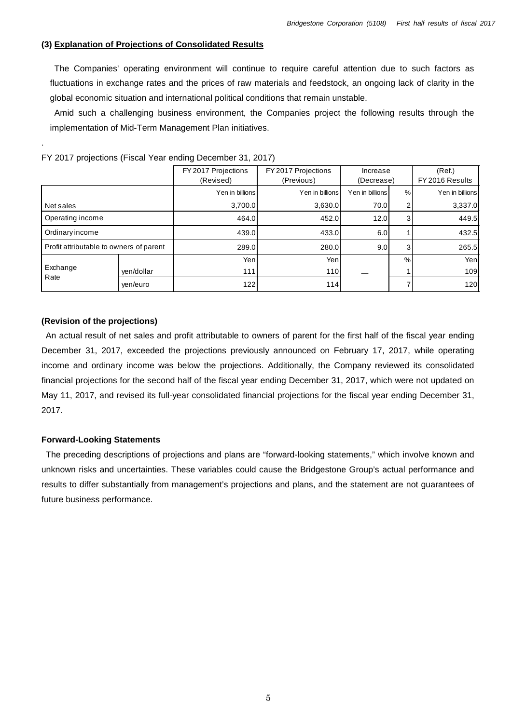#### **(3) Explanation of Projections of Consolidated Results**

The Companies' operating environment will continue to require careful attention due to such factors as fluctuations in exchange rates and the prices of raw materials and feedstock, an ongoing lack of clarity in the global economic situation and international political conditions that remain unstable.

Amid such a challenging business environment, the Companies project the following results through the implementation of Mid-Term Management Plan initiatives.

|                                         |            | FY 2017 Projections<br>(Revised) | FY 2017 Projections<br>(Previous) | Increase<br>(Decrease) |               | (Ref.)<br>FY 2016 Results |
|-----------------------------------------|------------|----------------------------------|-----------------------------------|------------------------|---------------|---------------------------|
|                                         |            | Yen in billions                  | Yen in billions                   | Yen in billions        | %             | Yen in billions           |
| Net sales                               |            | 3,700.0                          | 3,630.0                           | 70.0                   | 2             | 3,337.0                   |
| Operating income                        |            | 464.0                            | 452.0                             | 12.0                   | 3             | 449.5                     |
| Ordinary income                         |            | 439.0                            | 433.0                             | 6.0                    |               | 432.5                     |
| Profit attributable to owners of parent |            | 289.0                            | 280.0                             | 9.0                    | 3             | 265.5                     |
| Exchange<br>Rate                        |            | Yenl                             | Yenl                              |                        | $\frac{0}{0}$ | Yen                       |
|                                         | yen/dollar | 111                              | 110                               |                        |               | 109                       |
|                                         | yen/euro   | 122                              | 114                               |                        |               | 120                       |

FY 2017 projections (Fiscal Year ending December 31, 2017)

#### **(Revision of the projections)**

.

An actual result of net sales and profit attributable to owners of parent for the first half of the fiscal year ending December 31, 2017, exceeded the projections previously announced on February 17, 2017, while operating income and ordinary income was below the projections. Additionally, the Company reviewed its consolidated financial projections for the second half of the fiscal year ending December 31, 2017, which were not updated on May 11, 2017, and revised its full-year consolidated financial projections for the fiscal year ending December 31, 2017.

#### **Forward-Looking Statements**

The preceding descriptions of projections and plans are "forward-looking statements," which involve known and unknown risks and uncertainties. These variables could cause the Bridgestone Group's actual performance and results to differ substantially from management's projections and plans, and the statement are not guarantees of future business performance.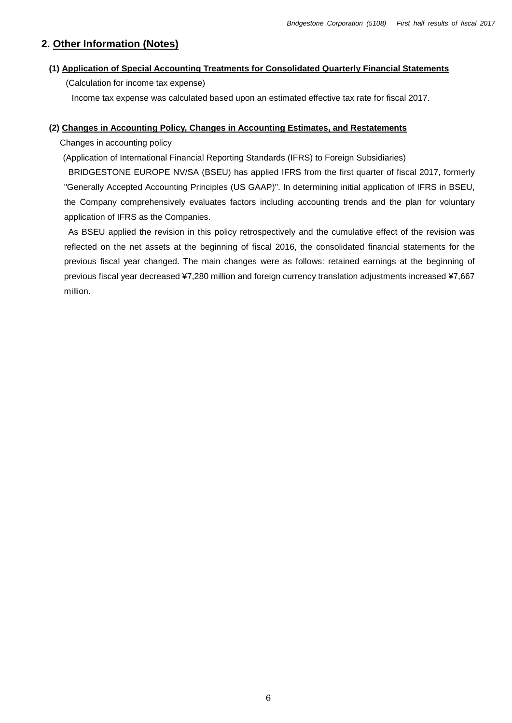# **2. Other Information (Notes)**

#### **(1) Application of Special Accounting Treatments for Consolidated Quarterly Financial Statements**

(Calculation for income tax expense)

Income tax expense was calculated based upon an estimated effective tax rate for fiscal 2017.

#### **(2) Changes in Accounting Policy, Changes in Accounting Estimates, and Restatements**

Changes in accounting policy

(Application of International Financial Reporting Standards (IFRS) to Foreign Subsidiaries)

BRIDGESTONE EUROPE NV/SA (BSEU) has applied IFRS from the first quarter of fiscal 2017, formerly "Generally Accepted Accounting Principles (US GAAP)". In determining initial application of IFRS in BSEU, the Company comprehensively evaluates factors including accounting trends and the plan for voluntary application of IFRS as the Companies.

As BSEU applied the revision in this policy retrospectively and the cumulative effect of the revision was reflected on the net assets at the beginning of fiscal 2016, the consolidated financial statements for the previous fiscal year changed. The main changes were as follows: retained earnings at the beginning of previous fiscal year decreased ¥7,280 million and foreign currency translation adjustments increased ¥7,667 million.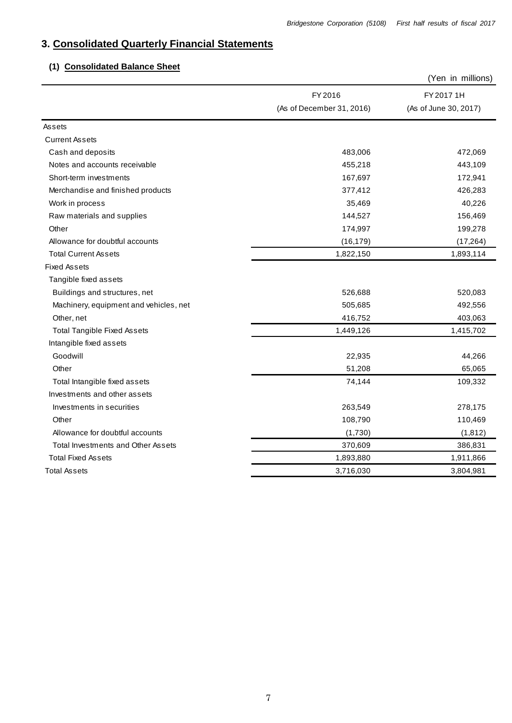# **3. Consolidated Quarterly Financial Statements**

# **(1) Consolidated Balance Sheet**

|                                        |                           | (Yen in millions)     |
|----------------------------------------|---------------------------|-----------------------|
|                                        | FY 2016                   | FY 2017 1H            |
|                                        | (As of December 31, 2016) | (As of June 30, 2017) |
| Assets                                 |                           |                       |
| <b>Current Assets</b>                  |                           |                       |
| Cash and deposits                      | 483,006                   | 472,069               |
| Notes and accounts receivable          | 455,218                   | 443,109               |
| Short-term investments                 | 167,697                   | 172,941               |
| Merchandise and finished products      | 377,412                   | 426,283               |
| Work in process                        | 35,469                    | 40,226                |
| Raw materials and supplies             | 144,527                   | 156,469               |
| Other                                  | 174,997                   | 199,278               |
| Allowance for doubtful accounts        | (16, 179)                 | (17, 264)             |
| <b>Total Current Assets</b>            | 1,822,150                 | 1,893,114             |
| <b>Fixed Assets</b>                    |                           |                       |
| Tangible fixed assets                  |                           |                       |
| Buildings and structures, net          | 526,688                   | 520,083               |
| Machinery, equipment and vehicles, net | 505,685                   | 492,556               |
| Other, net                             | 416,752                   | 403,063               |
| <b>Total Tangible Fixed Assets</b>     | 1,449,126                 | 1,415,702             |
| Intangible fixed assets                |                           |                       |
| Goodwill                               | 22,935                    | 44,266                |
| Other                                  | 51,208                    | 65,065                |
| Total Intangible fixed assets          | 74,144                    | 109,332               |
| Investments and other assets           |                           |                       |
| Investments in securities              | 263,549                   | 278,175               |
| Other                                  | 108,790                   | 110,469               |
| Allowance for doubtful accounts        | (1,730)                   | (1, 812)              |
| Total Investments and Other Assets     | 370,609                   | 386,831               |
| <b>Total Fixed Assets</b>              | 1,893,880                 | 1,911,866             |
| <b>Total Assets</b>                    | 3,716,030                 | 3,804,981             |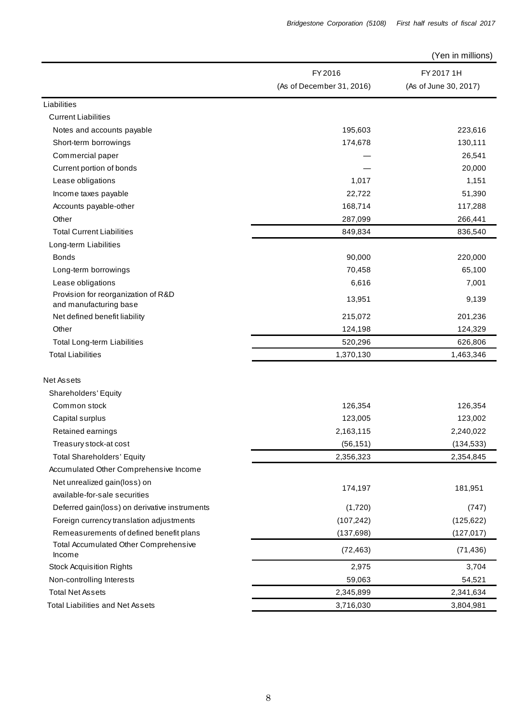| Bridgestone Corporation (5108) |  | First half results of fiscal 2017 |  |  |
|--------------------------------|--|-----------------------------------|--|--|
|                                |  |                                   |  |  |

(Yen in millions)

|                                                               | FY 2016                   | FY 2017 1H            |  |
|---------------------------------------------------------------|---------------------------|-----------------------|--|
|                                                               | (As of December 31, 2016) | (As of June 30, 2017) |  |
| Liabilities                                                   |                           |                       |  |
| <b>Current Liabilities</b>                                    |                           |                       |  |
| Notes and accounts payable                                    | 195,603                   | 223,616               |  |
| Short-term borrowings                                         | 174,678                   | 130,111               |  |
| Commercial paper                                              |                           | 26,541                |  |
| Current portion of bonds                                      |                           | 20,000                |  |
| Lease obligations                                             | 1,017                     | 1,151                 |  |
| Income taxes payable                                          | 22,722                    | 51,390                |  |
| Accounts payable-other                                        | 168,714                   | 117,288               |  |
| Other                                                         | 287,099                   | 266,441               |  |
| <b>Total Current Liabilities</b>                              | 849,834                   | 836,540               |  |
| Long-term Liabilities                                         |                           |                       |  |
| <b>Bonds</b>                                                  | 90,000                    | 220,000               |  |
| Long-term borrowings                                          | 70,458                    | 65,100                |  |
| Lease obligations                                             | 6,616                     | 7,001                 |  |
| Provision for reorganization of R&D<br>and manufacturing base | 13,951                    | 9,139                 |  |
| Net defined benefit liability                                 | 215,072                   | 201,236               |  |
| Other                                                         | 124,198                   | 124,329               |  |
| <b>Total Long-term Liabilities</b>                            | 520,296                   | 626,806               |  |
| <b>Total Liabilities</b>                                      | 1,370,130                 | 1,463,346             |  |
| <b>Net Assets</b>                                             |                           |                       |  |
| Shareholders' Equity                                          |                           |                       |  |
| Common stock                                                  | 126,354                   | 126,354               |  |
| Capital surplus                                               | 123,005                   | 123,002               |  |
| Retained earnings                                             | 2,163,115                 | 2,240,022             |  |
| Treasury stock-at cost                                        | (56, 151)                 | (134, 533)            |  |
| <b>Total Shareholders' Equity</b>                             | 2,356,323                 | 2,354,845             |  |
| Accumulated Other Comprehensive Income                        |                           |                       |  |
| Net unrealized gain(loss) on                                  |                           |                       |  |
| available-for-sale securities                                 | 174,197                   | 181,951               |  |
| Deferred gain(loss) on derivative instruments                 | (1,720)                   | (747)                 |  |
| Foreign currency translation adjustments                      | (107, 242)                | (125, 622)            |  |
| Remeasurements of defined benefit plans                       | (137, 698)                | (127, 017)            |  |
| Total Accumulated Other Comprehensive<br>Income               | (72, 463)                 | (71, 436)             |  |
| <b>Stock Acquisition Rights</b>                               | 2,975                     | 3,704                 |  |
| Non-controlling Interests                                     | 59,063                    | 54,521                |  |
| <b>Total Net Assets</b>                                       | 2,345,899                 | 2,341,634             |  |
| <b>Total Liabilities and Net Assets</b>                       | 3,716,030                 | 3,804,981             |  |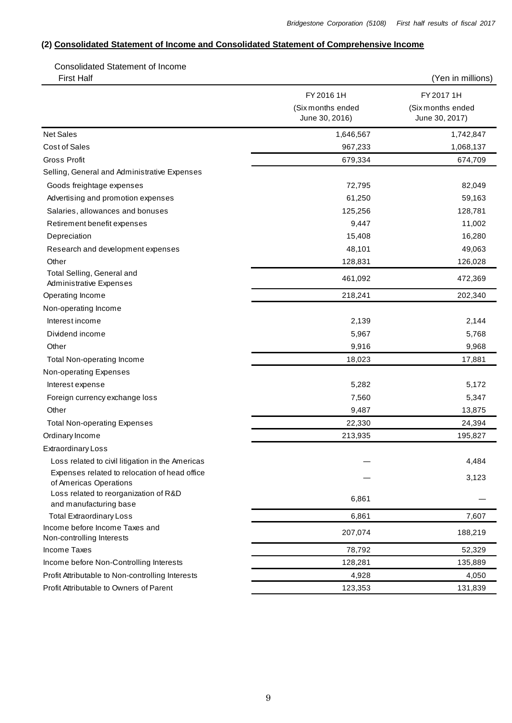#### **(2) Consolidated Statement of Income and Consolidated Statement of Comprehensive Income**

Consolidated Statement of Income

| <b>First Half</b>                                                       |                                     | (Yen in millions)                   |
|-------------------------------------------------------------------------|-------------------------------------|-------------------------------------|
|                                                                         | FY 2016 1H                          | FY 2017 1H                          |
|                                                                         | (Six months ended<br>June 30, 2016) | (Six months ended<br>June 30, 2017) |
| <b>Net Sales</b>                                                        | 1,646,567                           | 1,742,847                           |
| <b>Cost of Sales</b>                                                    | 967,233                             | 1,068,137                           |
| <b>Gross Profit</b>                                                     | 679,334                             | 674,709                             |
| Selling, General and Administrative Expenses                            |                                     |                                     |
| Goods freightage expenses                                               | 72,795                              | 82,049                              |
| Advertising and promotion expenses                                      | 61,250                              | 59,163                              |
| Salaries, allowances and bonuses                                        | 125,256                             | 128,781                             |
| Retirement benefit expenses                                             | 9,447                               | 11,002                              |
| Depreciation                                                            | 15,408                              | 16,280                              |
| Research and development expenses                                       | 48,101                              | 49,063                              |
| Other                                                                   | 128,831                             | 126,028                             |
| Total Selling, General and<br><b>Administrative Expenses</b>            | 461,092                             | 472,369                             |
| Operating Income                                                        | 218,241                             | 202,340                             |
| Non-operating Income                                                    |                                     |                                     |
| Interest income                                                         | 2,139                               | 2,144                               |
| Dividend income                                                         | 5,967                               | 5,768                               |
| Other                                                                   | 9,916                               | 9,968                               |
| Total Non-operating Income                                              | 18,023                              | 17,881                              |
| Non-operating Expenses                                                  |                                     |                                     |
| Interest expense                                                        | 5,282                               | 5,172                               |
| Foreign currency exchange loss                                          | 7,560                               | 5,347                               |
| Other                                                                   | 9,487                               | 13,875                              |
| <b>Total Non-operating Expenses</b>                                     | 22,330                              | 24,394                              |
| Ordinary Income                                                         | 213,935                             | 195,827                             |
| <b>Extraordinary Loss</b>                                               |                                     |                                     |
| Loss related to civil litigation in the Americas                        |                                     | 4,484                               |
| Expenses related to relocation of head office<br>of Americas Operations |                                     | 3,123                               |
| Loss related to reorganization of R&D<br>and manufacturing base         | 6,861                               |                                     |
| <b>Total Extraordinary Loss</b>                                         | 6,861                               | 7,607                               |
| Income before Income Taxes and<br>Non-controlling Interests             | 207,074                             | 188,219                             |
| <b>Income Taxes</b>                                                     | 78,792                              | 52,329                              |
| Income before Non-Controlling Interests                                 | 128,281                             | 135,889                             |
| Profit Attributable to Non-controlling Interests                        | 4,928                               | 4,050                               |
| Profit Attributable to Owners of Parent                                 | 123,353                             | 131,839                             |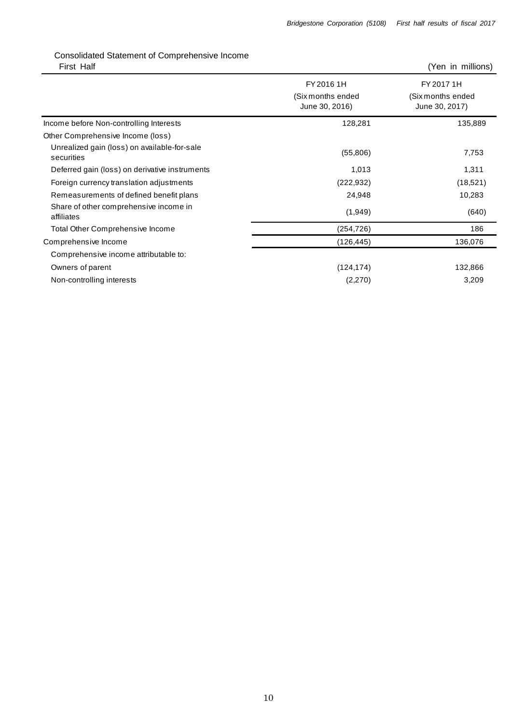# Consolidated Statement of Comprehensive Income

| First Half                                                 |                                                   | (Yen in millions)                                 |
|------------------------------------------------------------|---------------------------------------------------|---------------------------------------------------|
|                                                            | FY 2016 1H<br>(Six months ended<br>June 30, 2016) | FY 2017 1H<br>(Six months ended<br>June 30, 2017) |
| Income before Non-controlling Interests                    | 128,281                                           | 135,889                                           |
| Other Comprehensive Income (loss)                          |                                                   |                                                   |
| Unrealized gain (loss) on available-for-sale<br>securities | (55,806)                                          | 7,753                                             |
| Deferred gain (loss) on derivative instruments             | 1,013                                             | 1,311                                             |
| Foreign currency translation adjustments                   | (222, 932)                                        | (18, 521)                                         |
| Remeasurements of defined benefit plans                    | 24,948                                            | 10,283                                            |
| Share of other comprehensive income in<br>affiliates       | (1,949)                                           | (640)                                             |
| <b>Total Other Comprehensive Income</b>                    | (254,726)                                         | 186                                               |
| Comprehensive Income                                       | (126, 445)                                        | 136,076                                           |
| Comprehensive income attributable to:                      |                                                   |                                                   |
| Owners of parent                                           | (124, 174)                                        | 132,866                                           |
| Non-controlling interests                                  | (2,270)                                           | 3,209                                             |